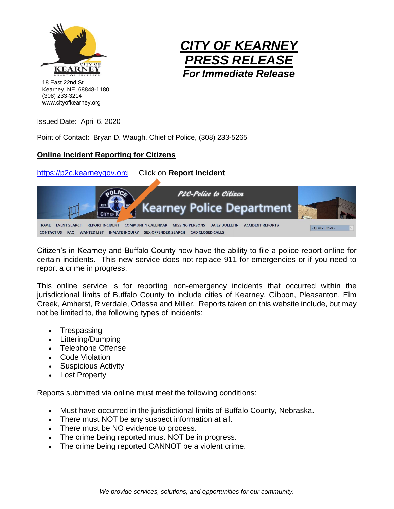



Issued Date: April 6, 2020

Point of Contact: Bryan D. Waugh, Chief of Police, (308) 233-5265

## **Online Incident Reporting for Citizens**

[https://p2c.kearneygov.org](https://p2c.kearneygov.org/) Click on **Report Incident**



Citizen's in Kearney and Buffalo County now have the ability to file a police report online for certain incidents. This new service does not replace 911 for emergencies or if you need to report a crime in progress.

This online service is for reporting non-emergency incidents that occurred within the jurisdictional limits of Buffalo County to include cities of Kearney, Gibbon, Pleasanton, Elm Creek, Amherst, Riverdale, Odessa and Miller. Reports taken on this website include, but may not be limited to, the following types of incidents:

- Trespassing
- Littering/Dumping
- Telephone Offense
- Code Violation
- Suspicious Activity
- **Lost Property**

Reports submitted via online must meet the following conditions:

- Must have occurred in the jurisdictional limits of Buffalo County, Nebraska.
- There must NOT be any suspect information at all.
- There must be NO evidence to process.
- The crime being reported must NOT be in progress.
- The crime being reported CANNOT be a violent crime.